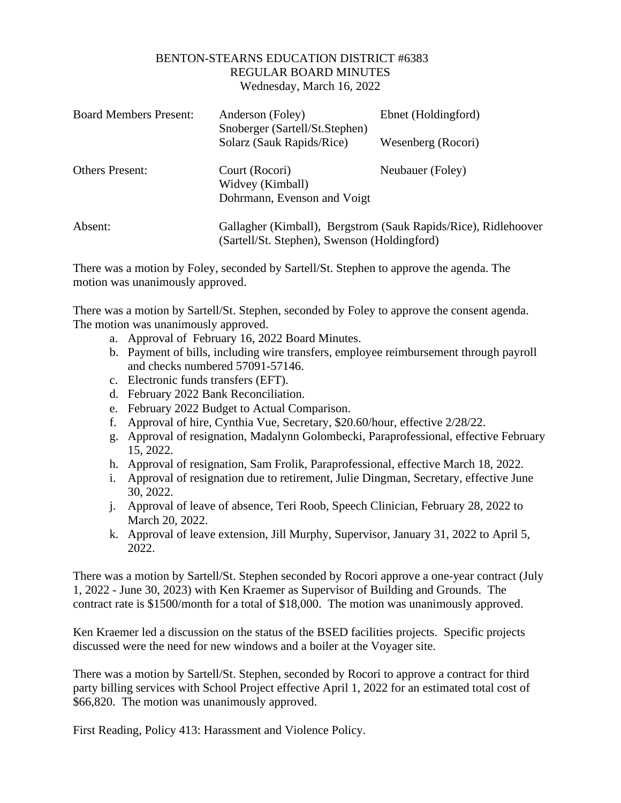## BENTON-STEARNS EDUCATION DISTRICT #6383 REGULAR BOARD MINUTES Wednesday, March 16, 2022

| <b>Board Members Present:</b> | Anderson (Foley)<br>Snoberger (Sartell/St.Stephen)                                                             | Ebnet (Holdingford) |
|-------------------------------|----------------------------------------------------------------------------------------------------------------|---------------------|
|                               | Solarz (Sauk Rapids/Rice)                                                                                      | Wesenberg (Rocori)  |
| <b>Others Present:</b>        | Court (Rocori)<br>Widvey (Kimball)                                                                             | Neubauer (Foley)    |
|                               | Dohrmann, Evenson and Voigt                                                                                    |                     |
| Absent:                       | Gallagher (Kimball), Bergstrom (Sauk Rapids/Rice), Ridlehoover<br>(Sartell/St. Stephen), Swenson (Holdingford) |                     |

There was a motion by Foley, seconded by Sartell/St. Stephen to approve the agenda. The motion was unanimously approved.

There was a motion by Sartell/St. Stephen, seconded by Foley to approve the consent agenda. The motion was unanimously approved.

- a. Approval of February 16, 2022 Board Minutes.
- b. Payment of bills, including wire transfers, employee reimbursement through payroll and checks numbered 57091-57146.
- c. Electronic funds transfers (EFT).
- d. February 2022 Bank Reconciliation.
- e. February 2022 Budget to Actual Comparison.
- f. Approval of hire, Cynthia Vue, Secretary, \$20.60/hour, effective 2/28/22.
- g. Approval of resignation, Madalynn Golombecki, Paraprofessional, effective February 15, 2022.
- h. Approval of resignation, Sam Frolik, Paraprofessional, effective March 18, 2022.
- i. Approval of resignation due to retirement, Julie Dingman, Secretary, effective June 30, 2022.
- j. Approval of leave of absence, Teri Roob, Speech Clinician, February 28, 2022 to March 20, 2022.
- k. Approval of leave extension, Jill Murphy, Supervisor, January 31, 2022 to April 5, 2022.

There was a motion by Sartell/St. Stephen seconded by Rocori approve a one-year contract (July 1, 2022 - June 30, 2023) with Ken Kraemer as Supervisor of Building and Grounds. The contract rate is \$1500/month for a total of \$18,000. The motion was unanimously approved.

Ken Kraemer led a discussion on the status of the BSED facilities projects. Specific projects discussed were the need for new windows and a boiler at the Voyager site.

There was a motion by Sartell/St. Stephen, seconded by Rocori to approve a contract for third party billing services with School Project effective April 1, 2022 for an estimated total cost of \$66,820. The motion was unanimously approved.

First Reading, Policy 413: Harassment and Violence Policy.